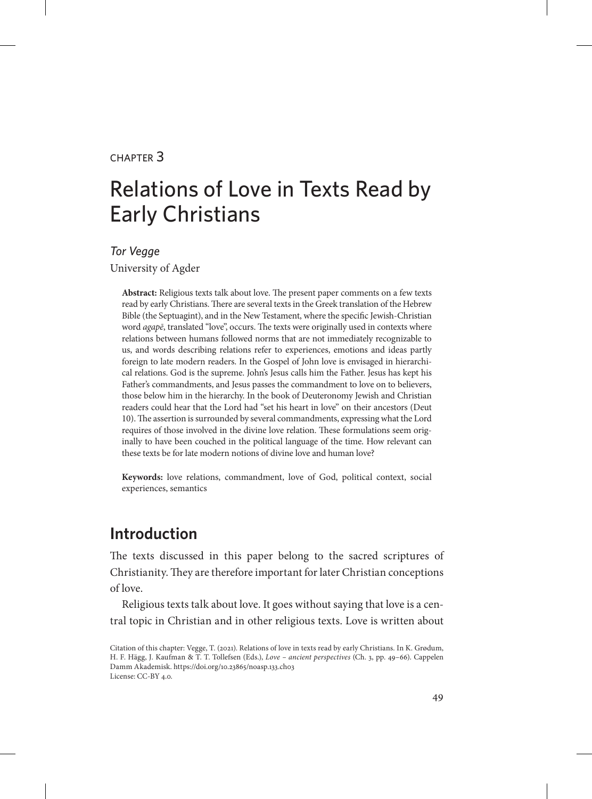#### chapter 3

# Relations of Love in Texts Read by Early Christians

#### *Tor Vegge*

University of Agder

**Abstract:** Religious texts talk about love. The present paper comments on a few texts read by early Christians. There are several texts in the Greek translation of the Hebrew Bible (the Septuagint), and in the New Testament, where the specific Jewish-Christian word *agapē*, translated "love", occurs. The texts were originally used in contexts where relations between humans followed norms that are not immediately recognizable to us, and words describing relations refer to experiences, emotions and ideas partly foreign to late modern readers. In the Gospel of John love is envisaged in hierarchical relations. God is the supreme. John's Jesus calls him the Father. Jesus has kept his Father's commandments, and Jesus passes the commandment to love on to believers, those below him in the hierarchy. In the book of Deuteronomy Jewish and Christian readers could hear that the Lord had "set his heart in love" on their ancestors (Deut 10). The assertion is surrounded by several commandments, expressing what the Lord requires of those involved in the divine love relation. These formulations seem originally to have been couched in the political language of the time. How relevant can these texts be for late modern notions of divine love and human love?

**Keywords:** love relations, commandment, love of God, political context, social experiences, semantics

# **Introduction**

The texts discussed in this paper belong to the sacred scriptures of Christianity. They are therefore important for later Christian conceptions of love.

Religious texts talk about love. It goes without saying that love is a central topic in Christian and in other religious texts. Love is written about

Citation of this chapter: Vegge, T. (2021). Relations of love in texts read by early Christians. In K. Grødum, H. F. Hägg, J. Kaufman & T. T. Tollefsen (Eds.), *Love – ancient perspectives* (Ch. 3, pp. 49–66). Cappelen Damm Akademisk. https://doi.org/10.23865/noasp.133.ch03 License: CC-BY 4.0.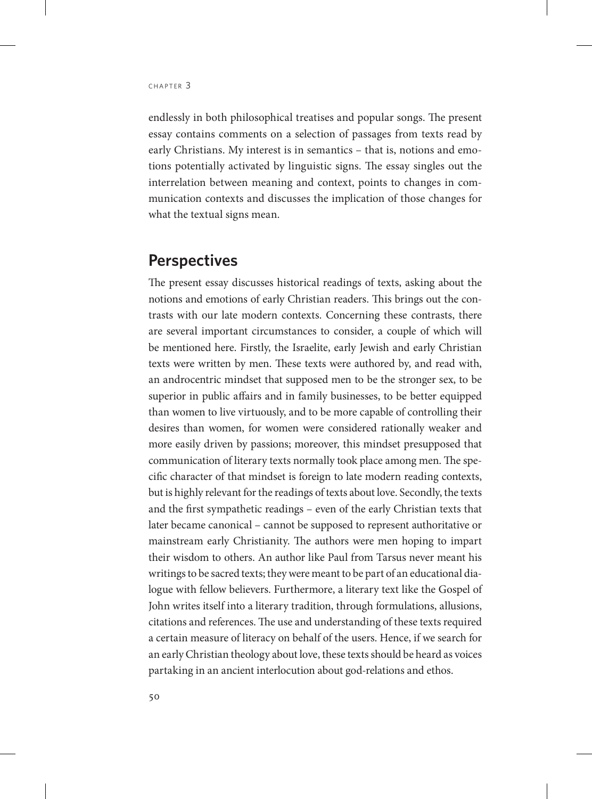endlessly in both philosophical treatises and popular songs. The present essay contains comments on a selection of passages from texts read by early Christians. My interest is in semantics – that is, notions and emotions potentially activated by linguistic signs. The essay singles out the interrelation between meaning and context, points to changes in communication contexts and discusses the implication of those changes for what the textual signs mean.

### **Perspectives**

The present essay discusses historical readings of texts, asking about the notions and emotions of early Christian readers. This brings out the contrasts with our late modern contexts. Concerning these contrasts, there are several important circumstances to consider, a couple of which will be mentioned here. Firstly, the Israelite, early Jewish and early Christian texts were written by men. These texts were authored by, and read with, an androcentric mindset that supposed men to be the stronger sex, to be superior in public affairs and in family businesses, to be better equipped than women to live virtuously, and to be more capable of controlling their desires than women, for women were considered rationally weaker and more easily driven by passions; moreover, this mindset presupposed that communication of literary texts normally took place among men. The specific character of that mindset is foreign to late modern reading contexts, but is highly relevant for the readings of texts about love. Secondly, the texts and the first sympathetic readings – even of the early Christian texts that later became canonical – cannot be supposed to represent authoritative or mainstream early Christianity. The authors were men hoping to impart their wisdom to others. An author like Paul from Tarsus never meant his writings to be sacred texts; they were meant to be part of an educational dialogue with fellow believers. Furthermore, a literary text like the Gospel of John writes itself into a literary tradition, through formulations, allusions, citations and references. The use and understanding of these texts required a certain measure of literacy on behalf of the users. Hence, if we search for an early Christian theology about love, these texts should be heard as voices partaking in an ancient interlocution about god-relations and ethos.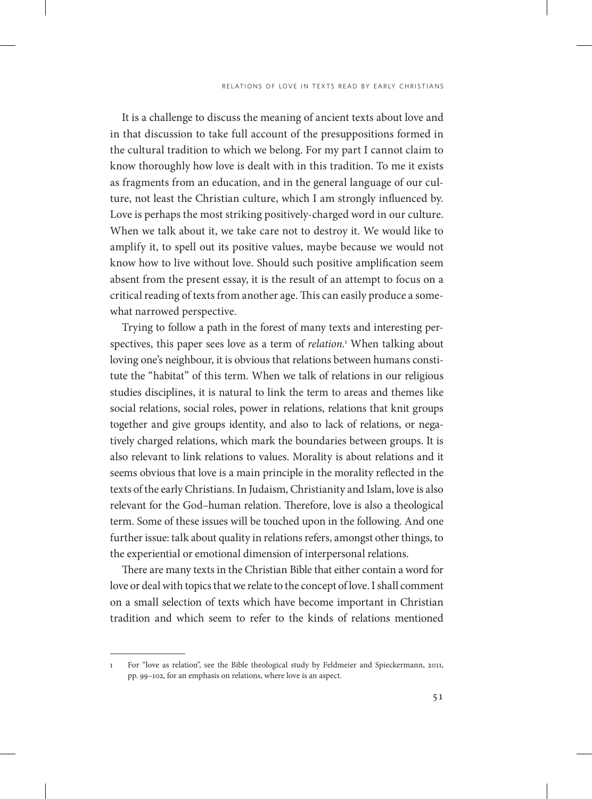It is a challenge to discuss the meaning of ancient texts about love and in that discussion to take full account of the presuppositions formed in the cultural tradition to which we belong. For my part I cannot claim to know thoroughly how love is dealt with in this tradition. To me it exists as fragments from an education, and in the general language of our culture, not least the Christian culture, which I am strongly influenced by. Love is perhaps the most striking positively-charged word in our culture. When we talk about it, we take care not to destroy it. We would like to amplify it, to spell out its positive values, maybe because we would not know how to live without love. Should such positive amplification seem absent from the present essay, it is the result of an attempt to focus on a critical reading of texts from another age. This can easily produce a somewhat narrowed perspective.

Trying to follow a path in the forest of many texts and interesting perspectives, this paper sees love as a term of *relation*. 1 When talking about loving one's neighbour, it is obvious that relations between humans constitute the "habitat" of this term. When we talk of relations in our religious studies disciplines, it is natural to link the term to areas and themes like social relations, social roles, power in relations, relations that knit groups together and give groups identity, and also to lack of relations, or negatively charged relations, which mark the boundaries between groups. It is also relevant to link relations to values. Morality is about relations and it seems obvious that love is a main principle in the morality reflected in the texts of the early Christians. In Judaism, Christianity and Islam, love is also relevant for the God–human relation. Therefore, love is also a theological term. Some of these issues will be touched upon in the following. And one further issue: talk about quality in relations refers, amongst other things, to the experiential or emotional dimension of interpersonal relations.

There are many texts in the Christian Bible that either contain a word for love or deal with topics that we relate to the concept of love. I shall comment on a small selection of texts which have become important in Christian tradition and which seem to refer to the kinds of relations mentioned

<sup>1</sup> For "love as relation", see the Bible theological study by Feldmeier and Spieckermann, 2011, pp. 99–102, for an emphasis on relations, where love is an aspect.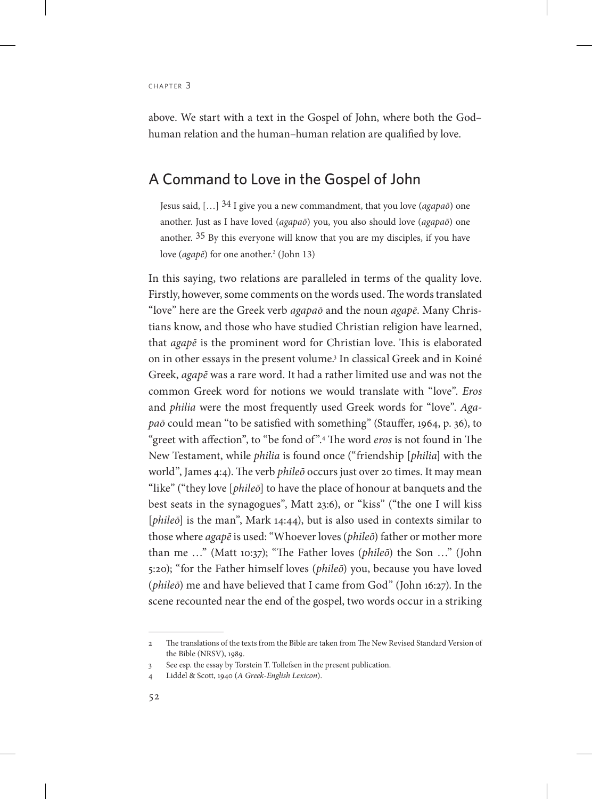above. We start with a text in the Gospel of John, where both the God– human relation and the human–human relation are qualified by love.

### A Command to Love in the Gospel of John

Jesus said, […] 34 I give you a new commandment, that you love (*agapaō*) one another. Just as I have loved (*agapaō*) you, you also should love (*agapaō*) one another. 35 By this everyone will know that you are my disciples, if you have love (*agapē*) for one another.<sup>2</sup> (John 13)

In this saying, two relations are paralleled in terms of the quality love. Firstly, however, some comments on the words used. The words translated "love" here are the Greek verb *agapaō* and the noun *agapē*. Many Christians know, and those who have studied Christian religion have learned, that *agapē* is the prominent word for Christian love. This is elaborated on in other essays in the present volume.<sup>3</sup> In classical Greek and in Koiné Greek, *agapē* was a rare word. It had a rather limited use and was not the common Greek word for notions we would translate with "love". *Eros* and *philia* were the most frequently used Greek words for "love". *Agapaō* could mean "to be satisfied with something" (Stauffer, 1964, p. 36), to "greet with affection", to "be fond of".4 The word *eros* is not found in The New Testament, while *philia* is found once ("friendship [*philia*] with the world", James 4:4). The verb *phileō* occurs just over 20 times. It may mean "like" ("they love [*phileō*] to have the place of honour at banquets and the best seats in the synagogues", Matt 23:6), or "kiss" ("the one I will kiss [*phileō*] is the man", Mark 14:44), but is also used in contexts similar to those where *agapē* is used: "Whoever loves (*phileō*) father or mother more than me …" (Matt 10:37); "The Father loves (*phileō*) the Son …" (John 5:20); "for the Father himself loves (*phileō*) you, because you have loved (*phileō*) me and have believed that I came from God" (John 16:27). In the scene recounted near the end of the gospel, two words occur in a striking

<sup>2</sup> The translations of the texts from the Bible are taken from The New Revised Standard Version of the Bible (NRSV), 1989.

<sup>3</sup> See esp. the essay by Torstein T. Tollefsen in the present publication.

<sup>4</sup> Liddel & Scott, 1940 (*A Greek-English Lexicon*).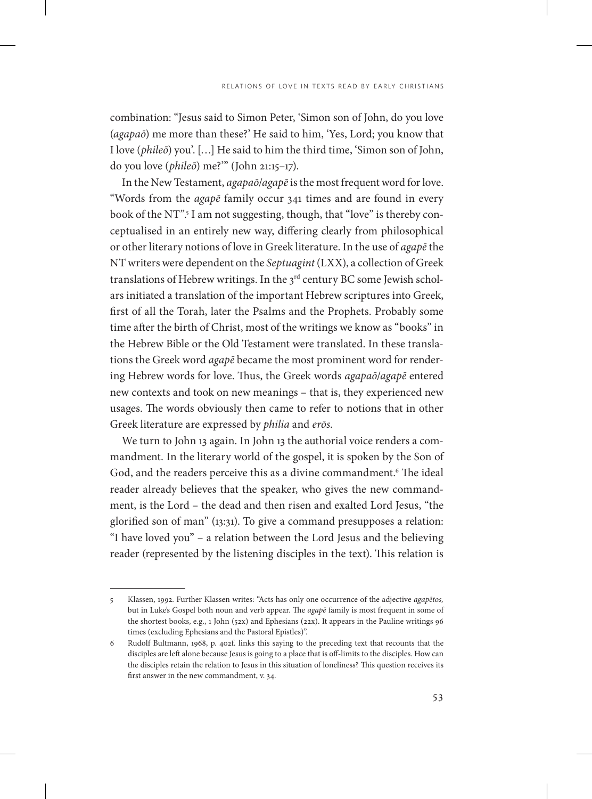combination: "Jesus said to Simon Peter, 'Simon son of John, do you love (*agapaō*) me more than these?' He said to him, 'Yes, Lord; you know that I love (*phileō*) you'. […] He said to him the third time, 'Simon son of John, do you love (*phileō*) me?'" (John 21:15–17).

In the New Testament, *agapaō*/*agapē* is the most frequent word for love. "Words from the *agapē* family occur 341 times and are found in every book of the NT".<sup>5</sup> I am not suggesting, though, that "love" is thereby conceptualised in an entirely new way, differing clearly from philosophical or other literary notions of love in Greek literature. In the use of *agapē* the NT writers were dependent on the *Septuagint* (LXX), a collection of Greek translations of Hebrew writings. In the 3<sup>rd</sup> century BC some Jewish scholars initiated a translation of the important Hebrew scriptures into Greek, first of all the Torah, later the Psalms and the Prophets. Probably some time after the birth of Christ, most of the writings we know as "books" in the Hebrew Bible or the Old Testament were translated. In these translations the Greek word *agapē* became the most prominent word for rendering Hebrew words for love. Thus, the Greek words *agapaō*/*agapē* entered new contexts and took on new meanings – that is, they experienced new usages. The words obviously then came to refer to notions that in other Greek literature are expressed by *philia* and *erōs*.

We turn to John 13 again. In John 13 the authorial voice renders a commandment. In the literary world of the gospel, it is spoken by the Son of God, and the readers perceive this as a divine commandment.6 The ideal reader already believes that the speaker, who gives the new commandment, is the Lord – the dead and then risen and exalted Lord Jesus, "the glorified son of man" (13:31). To give a command presupposes a relation: "I have loved you" – a relation between the Lord Jesus and the believing reader (represented by the listening disciples in the text). This relation is

<sup>5</sup> Klassen, 1992. Further Klassen writes: "Acts has only one occurrence of the adjective *agapētos,* but in Luke's Gospel both noun and verb appear. The *agapē* family is most frequent in some of the shortest books, e.g., 1 John (52x) and Ephesians (22x). It appears in the Pauline writings 96 times (excluding Ephesians and the Pastoral Epistles)".

<sup>6</sup> Rudolf Bultmann, 1968, p. 402f. links this saying to the preceding text that recounts that the disciples are left alone because Jesus is going to a place that is off-limits to the disciples. How can the disciples retain the relation to Jesus in this situation of loneliness? This question receives its first answer in the new commandment, v. 34.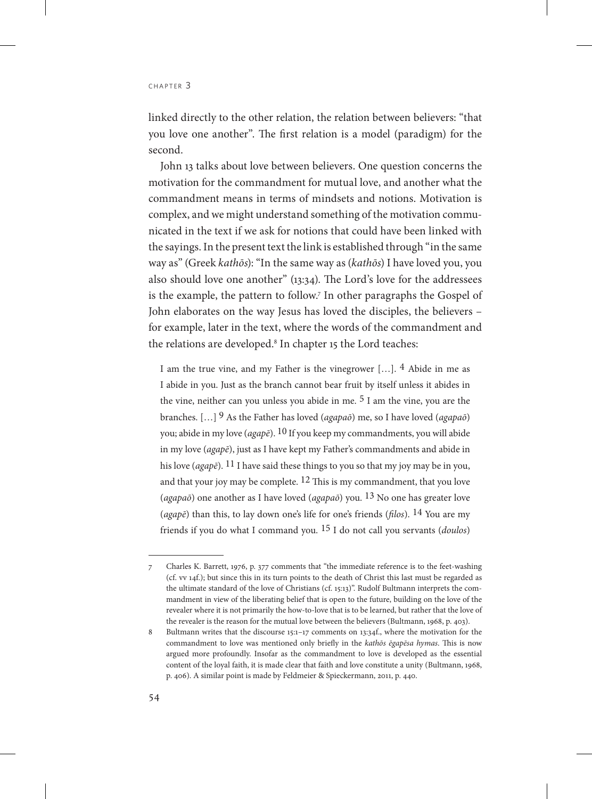linked directly to the other relation, the relation between believers: "that you love one another". The first relation is a model (paradigm) for the second.

John 13 talks about love between believers. One question concerns the motivation for the commandment for mutual love, and another what the commandment means in terms of mindsets and notions. Motivation is complex, and we might understand something of the motivation communicated in the text if we ask for notions that could have been linked with the sayings. In the present text the link is established through "in the same way as" (Greek *kathōs*): "In the same way as (*kathōs*) I have loved you, you also should love one another" (13:34). The Lord's love for the addressees is the example, the pattern to follow.7 In other paragraphs the Gospel of John elaborates on the way Jesus has loved the disciples, the believers – for example, later in the text, where the words of the commandment and the relations are developed.8 In chapter 15 the Lord teaches:

I am the true vine, and my Father is the vinegrower […]. 4 Abide in me as I abide in you. Just as the branch cannot bear fruit by itself unless it abides in the vine, neither can you unless you abide in me. 5 I am the vine, you are the branches. […] 9 As the Father has loved (*agapaō*) me, so I have loved (*agapaō*) you; abide in my love (*agapē*). 10 If you keep my commandments, you will abide in my love (*agapē*), just as I have kept my Father's commandments and abide in his love (*agapē*). 11 I have said these things to you so that my joy may be in you, and that your joy may be complete.  $12$  This is my commandment, that you love (*agapaō*) one another as I have loved (*agapaō*) you. 13 No one has greater love (*agapē*) than this, to lay down one's life for one's friends (*filos*). 14 You are my friends if you do what I command you. 15 I do not call you servants (*doulos*)

<sup>7</sup> Charles K. Barrett, 1976, p. 377 comments that "the immediate reference is to the feet-washing (cf. vv 14f.); but since this in its turn points to the death of Christ this last must be regarded as the ultimate standard of the love of Christians (cf. 15:13)". Rudolf Bultmann interprets the commandment in view of the liberating belief that is open to the future, building on the love of the revealer where it is not primarily the how-to-love that is to be learned, but rather that the love of the revealer is the reason for the mutual love between the believers (Bultmann, 1968, p. 403).

<sup>8</sup> Bultmann writes that the discourse 15:1–17 comments on 13:34f., where the motivation for the commandment to love was mentioned only briefly in the *kathōs ēgapēsa hymas*. This is now argued more profoundly. Insofar as the commandment to love is developed as the essential content of the loyal faith, it is made clear that faith and love constitute a unity (Bultmann, 1968, p. 406). A similar point is made by Feldmeier & Spieckermann, 2011, p. 440.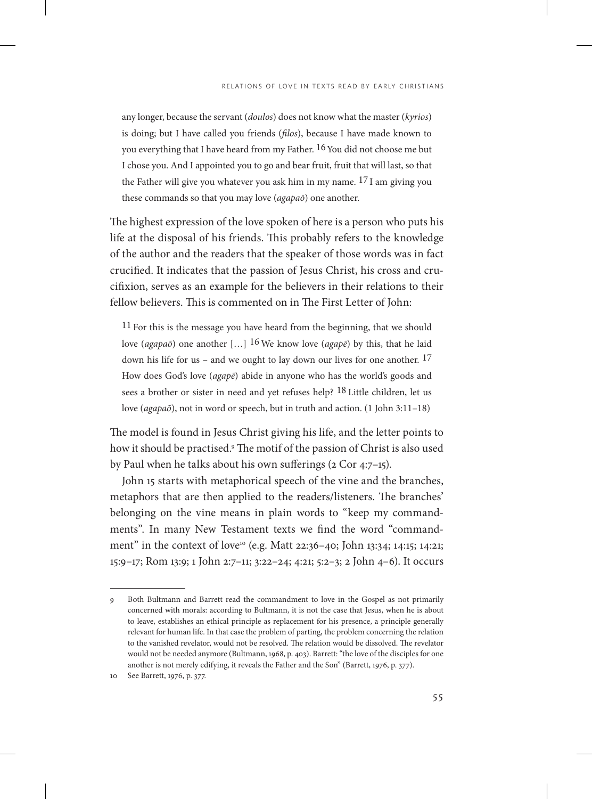any longer, because the servant (*doulos*) does not know what the master (*kyrios*) is doing; but I have called you friends (*filos*), because I have made known to you everything that I have heard from my Father. 16You did not choose me but I chose you. And I appointed you to go and bear fruit, fruit that will last, so that the Father will give you whatever you ask him in my name. 17 I am giving you these commands so that you may love (*agapaō*) one another.

The highest expression of the love spoken of here is a person who puts his life at the disposal of his friends. This probably refers to the knowledge of the author and the readers that the speaker of those words was in fact crucified. It indicates that the passion of Jesus Christ, his cross and crucifixion, serves as an example for the believers in their relations to their fellow believers. This is commented on in The First Letter of John:

11 For this is the message you have heard from the beginning, that we should love (*agapaō*) one another […] 16 We know love (*agapē*) by this, that he laid down his life for us – and we ought to lay down our lives for one another. 17 How does God's love (*agapē*) abide in anyone who has the world's goods and sees a brother or sister in need and yet refuses help? 18 Little children, let us love (*agapaō*), not in word or speech, but in truth and action. (1 John 3:11–18)

The model is found in Jesus Christ giving his life, and the letter points to how it should be practised.9 The motif of the passion of Christ is also used by Paul when he talks about his own sufferings (2 Cor 4:7–15).

John 15 starts with metaphorical speech of the vine and the branches, metaphors that are then applied to the readers/listeners. The branches' belonging on the vine means in plain words to "keep my commandments". In many New Testament texts we find the word "commandment" in the context of love10 (e.g. Matt 22:36–40; John 13:34; 14:15; 14:21; 15:9–17; Rom 13:9; 1 John 2:7–11; 3:22–24; 4:21; 5:2–3; 2 John 4–6). It occurs

<sup>9</sup> Both Bultmann and Barrett read the commandment to love in the Gospel as not primarily concerned with morals: according to Bultmann, it is not the case that Jesus, when he is about to leave, establishes an ethical principle as replacement for his presence, a principle generally relevant for human life. In that case the problem of parting, the problem concerning the relation to the vanished revelator, would not be resolved. The relation would be dissolved. The revelator would not be needed anymore (Bultmann, 1968, p. 403). Barrett: "the love of the disciples for one another is not merely edifying, it reveals the Father and the Son" (Barrett, 1976, p. 377).

<sup>10</sup> See Barrett, 1976, p. 377.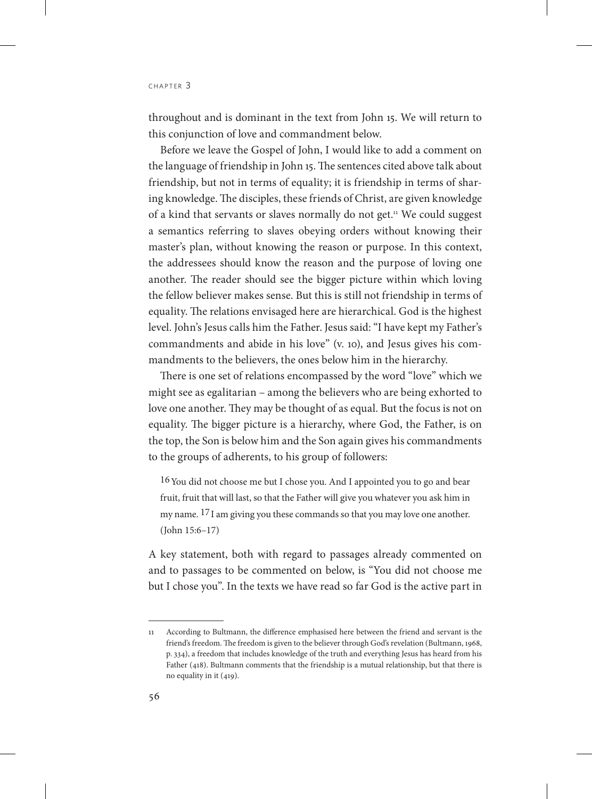throughout and is dominant in the text from John 15. We will return to this conjunction of love and commandment below.

Before we leave the Gospel of John, I would like to add a comment on the language of friendship in John 15. The sentences cited above talk about friendship, but not in terms of equality; it is friendship in terms of sharing knowledge. The disciples, these friends of Christ, are given knowledge of a kind that servants or slaves normally do not get.11 We could suggest a semantics referring to slaves obeying orders without knowing their master's plan, without knowing the reason or purpose. In this context, the addressees should know the reason and the purpose of loving one another. The reader should see the bigger picture within which loving the fellow believer makes sense. But this is still not friendship in terms of equality. The relations envisaged here are hierarchical. God is the highest level. John's Jesus calls him the Father. Jesus said: "I have kept my Father's commandments and abide in his love" (v. 10), and Jesus gives his commandments to the believers, the ones below him in the hierarchy.

There is one set of relations encompassed by the word "love" which we might see as egalitarian – among the believers who are being exhorted to love one another. They may be thought of as equal. But the focus is not on equality. The bigger picture is a hierarchy, where God, the Father, is on the top, the Son is below him and the Son again gives his commandments to the groups of adherents, to his group of followers:

16You did not choose me but I chose you. And I appointed you to go and bear fruit, fruit that will last, so that the Father will give you whatever you ask him in my name. 17I am giving you these commands so that you may love one another. (John 15:6–17)

A key statement, both with regard to passages already commented on and to passages to be commented on below, is "You did not choose me but I chose you". In the texts we have read so far God is the active part in

<sup>11</sup> According to Bultmann, the difference emphasised here between the friend and servant is the friend's freedom. The freedom is given to the believer through God's revelation (Bultmann, 1968, p. 334), a freedom that includes knowledge of the truth and everything Jesus has heard from his Father (418). Bultmann comments that the friendship is a mutual relationship, but that there is no equality in it (419).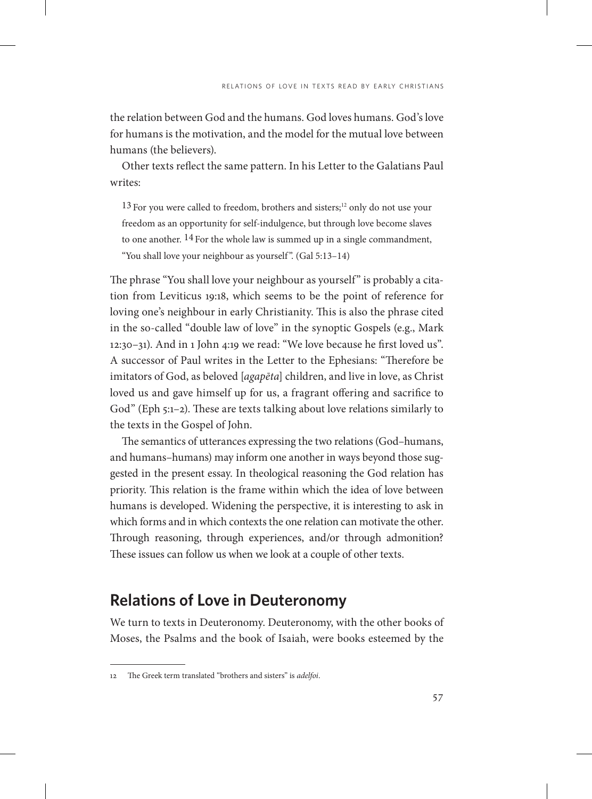the relation between God and the humans. God loves humans. God's love for humans is the motivation, and the model for the mutual love between humans (the believers).

Other texts reflect the same pattern. In his Letter to the Galatians Paul writes:

13 For you were called to freedom, brothers and sisters;<sup>12</sup> only do not use your freedom as an opportunity for self-indulgence, but through love become slaves to one another. 14 For the whole law is summed up in a single commandment, "You shall love your neighbour as yourself ". (Gal 5:13–14)

The phrase "You shall love your neighbour as yourself" is probably a citation from Leviticus 19:18, which seems to be the point of reference for loving one's neighbour in early Christianity. This is also the phrase cited in the so-called "double law of love" in the synoptic Gospels (e.g., Mark 12:30–31). And in 1 John 4:19 we read: "We love because he first loved us". A successor of Paul writes in the Letter to the Ephesians: "Therefore be imitators of God, as beloved [*agapēta*] children, and live in love, as Christ loved us and gave himself up for us, a fragrant offering and sacrifice to God" (Eph 5:1–2). These are texts talking about love relations similarly to the texts in the Gospel of John.

The semantics of utterances expressing the two relations (God–humans, and humans–humans) may inform one another in ways beyond those suggested in the present essay. In theological reasoning the God relation has priority. This relation is the frame within which the idea of love between humans is developed. Widening the perspective, it is interesting to ask in which forms and in which contexts the one relation can motivate the other. Through reasoning, through experiences, and/or through admonition? These issues can follow us when we look at a couple of other texts.

# **Relations of Love in Deuteronomy**

We turn to texts in Deuteronomy. Deuteronomy, with the other books of Moses, the Psalms and the book of Isaiah, were books esteemed by the

<sup>12</sup> The Greek term translated "brothers and sisters" is *adelfoi*.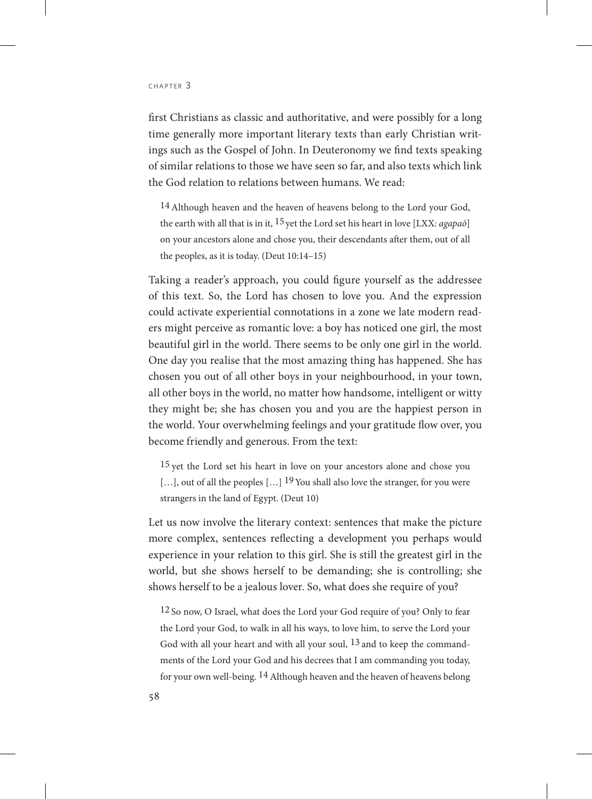first Christians as classic and authoritative, and were possibly for a long time generally more important literary texts than early Christian writings such as the Gospel of John. In Deuteronomy we find texts speaking of similar relations to those we have seen so far, and also texts which link the God relation to relations between humans. We read:

14Although heaven and the heaven of heavens belong to the Lord your God, the earth with all that is in it, 15 yet the Lord set his heart in love [LXX: *agapaō*] on your ancestors alone and chose you, their descendants after them, out of all the peoples, as it is today. (Deut 10:14–15)

Taking a reader's approach, you could figure yourself as the addressee of this text. So, the Lord has chosen to love you. And the expression could activate experiential connotations in a zone we late modern readers might perceive as romantic love: a boy has noticed one girl, the most beautiful girl in the world. There seems to be only one girl in the world. One day you realise that the most amazing thing has happened. She has chosen you out of all other boys in your neighbourhood, in your town, all other boys in the world, no matter how handsome, intelligent or witty they might be; she has chosen you and you are the happiest person in the world. Your overwhelming feelings and your gratitude flow over, you become friendly and generous. From the text:

<sup>15</sup> yet the Lord set his heart in love on your ancestors alone and chose you [...], out of all the peoples  $\left[\ldots\right]$  19 You shall also love the stranger, for you were strangers in the land of Egypt. (Deut 10)

Let us now involve the literary context: sentences that make the picture more complex, sentences reflecting a development you perhaps would experience in your relation to this girl. She is still the greatest girl in the world, but she shows herself to be demanding; she is controlling; she shows herself to be a jealous lover. So, what does she require of you?

12 So now, O Israel, what does the Lord your God require of you? Only to fear the Lord your God, to walk in all his ways, to love him, to serve the Lord your God with all your heart and with all your soul,  $13$  and to keep the commandments of the Lord your God and his decrees that I am commanding you today, for your own well-being. 14 Although heaven and the heaven of heavens belong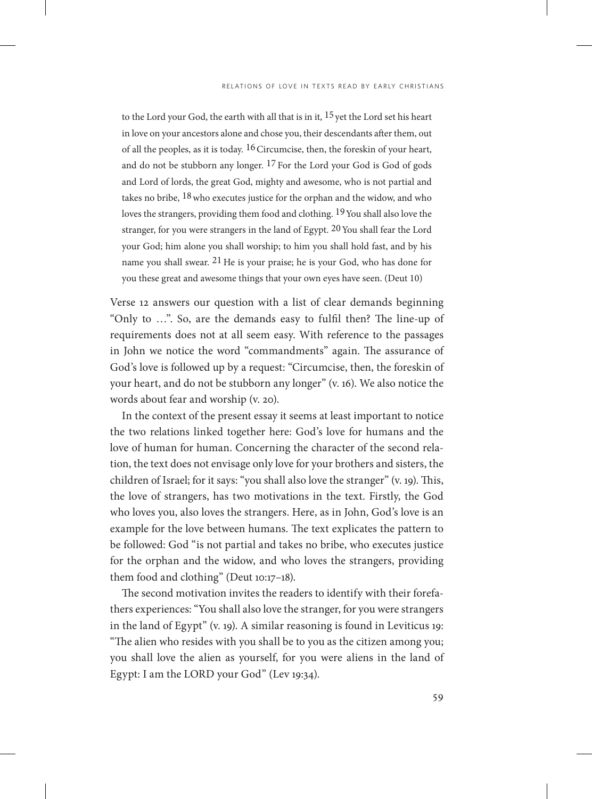to the Lord your God, the earth with all that is in it,  $15$  yet the Lord set his heart in love on your ancestors alone and chose you, their descendants after them, out of all the peoples, as it is today. 16Circumcise, then, the foreskin of your heart, and do not be stubborn any longer. 17 For the Lord your God is God of gods and Lord of lords, the great God, mighty and awesome, who is not partial and takes no bribe, <sup>18</sup> who executes justice for the orphan and the widow, and who loves the strangers, providing them food and clothing. 19You shall also love the stranger, for you were strangers in the land of Egypt.  $20$  You shall fear the Lord your God; him alone you shall worship; to him you shall hold fast, and by his name you shall swear.  $21$  He is your praise; he is your God, who has done for you these great and awesome things that your own eyes have seen. (Deut 10)

Verse 12 answers our question with a list of clear demands beginning "Only to …". So, are the demands easy to fulfil then? The line-up of requirements does not at all seem easy. With reference to the passages in John we notice the word "commandments" again. The assurance of God's love is followed up by a request: "Circumcise, then, the foreskin of your heart, and do not be stubborn any longer" (v. 16). We also notice the words about fear and worship (v. 20).

In the context of the present essay it seems at least important to notice the two relations linked together here: God's love for humans and the love of human for human. Concerning the character of the second relation, the text does not envisage only love for your brothers and sisters, the children of Israel; for it says: "you shall also love the stranger" (v. 19). This, the love of strangers, has two motivations in the text. Firstly, the God who loves you, also loves the strangers. Here, as in John, God's love is an example for the love between humans. The text explicates the pattern to be followed: God "is not partial and takes no bribe, who executes justice for the orphan and the widow, and who loves the strangers, providing them food and clothing" (Deut 10:17-18).

The second motivation invites the readers to identify with their forefathers experiences: "You shall also love the stranger, for you were strangers in the land of Egypt" (v. 19). A similar reasoning is found in Leviticus 19: "The alien who resides with you shall be to you as the citizen among you; you shall love the alien as yourself, for you were aliens in the land of Egypt: I am the LORD your God" (Lev 19:34).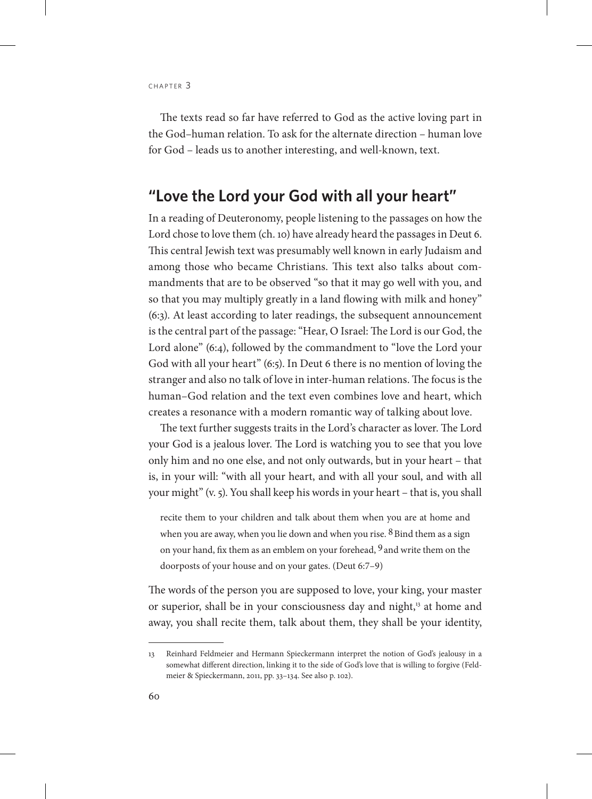The texts read so far have referred to God as the active loving part in the God–human relation. To ask for the alternate direction – human love for God – leads us to another interesting, and well-known, text.

### **"Love the Lord your God with all your heart"**

In a reading of Deuteronomy, people listening to the passages on how the Lord chose to love them (ch. 10) have already heard the passages in Deut 6. This central Jewish text was presumably well known in early Judaism and among those who became Christians. This text also talks about commandments that are to be observed "so that it may go well with you, and so that you may multiply greatly in a land flowing with milk and honey" (6:3). At least according to later readings, the subsequent announcement is the central part of the passage: "Hear, O Israel: The Lord is our God, the Lord alone" (6:4), followed by the commandment to "love the Lord your God with all your heart" (6:5). In Deut 6 there is no mention of loving the stranger and also no talk of love in inter-human relations. The focus is the human–God relation and the text even combines love and heart, which creates a resonance with a modern romantic way of talking about love.

The text further suggests traits in the Lord's character as lover. The Lord your God is a jealous lover. The Lord is watching you to see that you love only him and no one else, and not only outwards, but in your heart – that is, in your will: "with all your heart, and with all your soul, and with all your might" (v. 5). You shall keep his words in your heart – that is, you shall

recite them to your children and talk about them when you are at home and when you are away, when you lie down and when you rise.  $8$  Bind them as a sign on your hand, fix them as an emblem on your forehead, <sup>9</sup> and write them on the doorposts of your house and on your gates. (Deut 6:7–9)

The words of the person you are supposed to love, your king, your master or superior, shall be in your consciousness day and night,<sup>13</sup> at home and away, you shall recite them, talk about them, they shall be your identity,

<sup>13</sup> Reinhard Feldmeier and Hermann Spieckermann interpret the notion of God's jealousy in a somewhat different direction, linking it to the side of God's love that is willing to forgive (Feldmeier & Spieckermann, 2011, pp. 33–134. See also p. 102).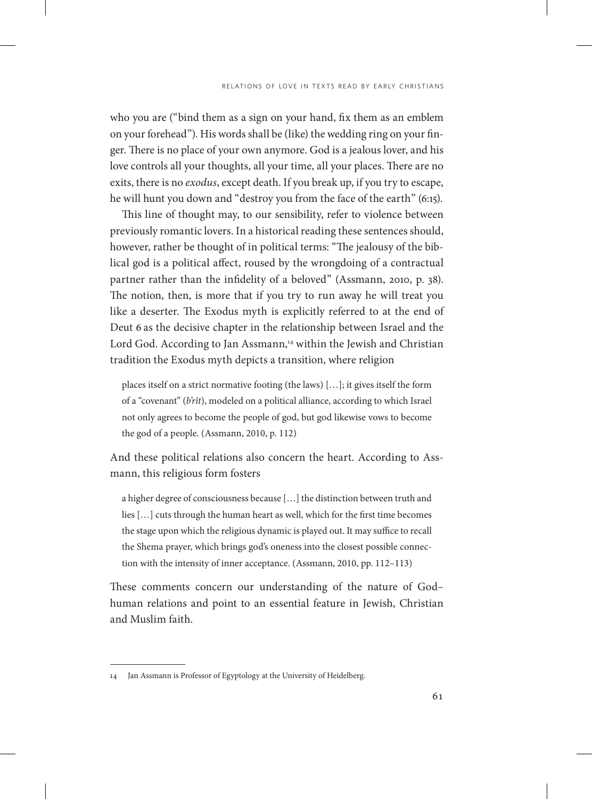who you are ("bind them as a sign on your hand, fix them as an emblem on your forehead"). His words shall be (like) the wedding ring on your finger. There is no place of your own anymore. God is a jealous lover, and his love controls all your thoughts, all your time, all your places. There are no exits, there is no *exodus*, except death. If you break up, if you try to escape, he will hunt you down and "destroy you from the face of the earth" (6:15).

This line of thought may, to our sensibility, refer to violence between previously romantic lovers. In a historical reading these sentences should, however, rather be thought of in political terms: "The jealousy of the biblical god is a political affect, roused by the wrongdoing of a contractual partner rather than the infidelity of a beloved" (Assmann, 2010, p. 38). The notion, then, is more that if you try to run away he will treat you like a deserter. The Exodus myth is explicitly referred to at the end of Deut 6 as the decisive chapter in the relationship between Israel and the Lord God. According to Jan Assmann,<sup>14</sup> within the Jewish and Christian tradition the Exodus myth depicts a transition, where religion

places itself on a strict normative footing (the laws) […]; it gives itself the form of a "covenant" (*b'rît*), modeled on a political alliance, according to which Israel not only agrees to become the people of god, but god likewise vows to become the god of a people. (Assmann, 2010, p. 112)

And these political relations also concern the heart. According to Assmann, this religious form fosters

a higher degree of consciousness because […] the distinction between truth and lies […] cuts through the human heart as well, which for the first time becomes the stage upon which the religious dynamic is played out. It may suffice to recall the Shema prayer, which brings god's oneness into the closest possible connection with the intensity of inner acceptance. (Assmann, 2010, pp. 112–113)

These comments concern our understanding of the nature of God– human relations and point to an essential feature in Jewish, Christian and Muslim faith.

<sup>14</sup> Jan Assmann is Professor of Egyptology at the University of Heidelberg.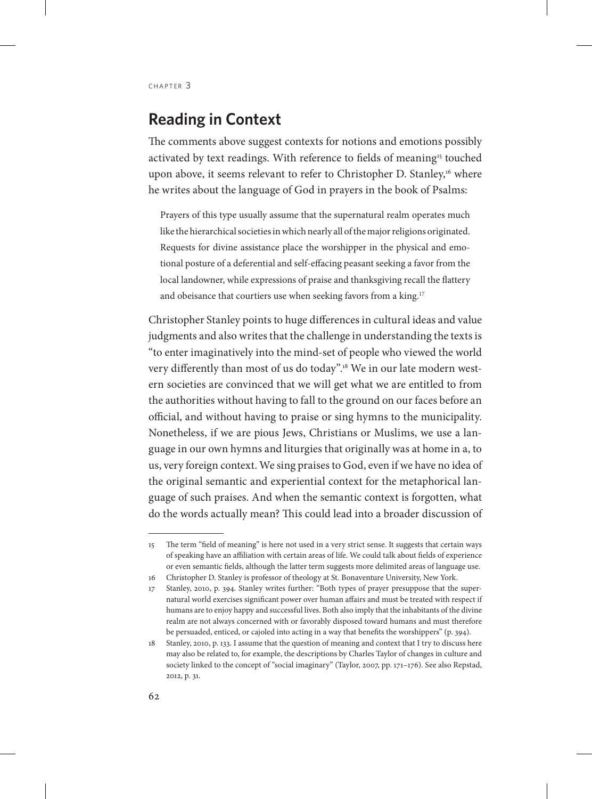# **Reading in Context**

The comments above suggest contexts for notions and emotions possibly activated by text readings. With reference to fields of meaning<sup>15</sup> touched upon above, it seems relevant to refer to Christopher D. Stanley,<sup>16</sup> where he writes about the language of God in prayers in the book of Psalms:

Prayers of this type usually assume that the supernatural realm operates much like the hierarchical societies in which nearly all of the major religions originated. Requests for divine assistance place the worshipper in the physical and emotional posture of a deferential and self-effacing peasant seeking a favor from the local landowner, while expressions of praise and thanksgiving recall the flattery and obeisance that courtiers use when seeking favors from a king.<sup>17</sup>

Christopher Stanley points to huge differences in cultural ideas and value judgments and also writes that the challenge in understanding the texts is "to enter imaginatively into the mind-set of people who viewed the world very differently than most of us do today".<sup>18</sup> We in our late modern western societies are convinced that we will get what we are entitled to from the authorities without having to fall to the ground on our faces before an official, and without having to praise or sing hymns to the municipality. Nonetheless, if we are pious Jews, Christians or Muslims, we use a language in our own hymns and liturgies that originally was at home in a, to us, very foreign context. We sing praises to God, even if we have no idea of the original semantic and experiential context for the metaphorical language of such praises. And when the semantic context is forgotten, what do the words actually mean? This could lead into a broader discussion of

<sup>15</sup> The term "field of meaning" is here not used in a very strict sense. It suggests that certain ways of speaking have an affiliation with certain areas of life. We could talk about fields of experience or even semantic fields, although the latter term suggests more delimited areas of language use.

<sup>16</sup> Christopher D. Stanley is professor of theology at St. Bonaventure University, New York.

<sup>17</sup> Stanley, 2010, p. 394. Stanley writes further: "Both types of prayer presuppose that the supernatural world exercises significant power over human affairs and must be treated with respect if humans are to enjoy happy and successful lives. Both also imply that the inhabitants of the divine realm are not always concerned with or favorably disposed toward humans and must therefore be persuaded, enticed, or cajoled into acting in a way that benefits the worshippers" (p. 394).

<sup>18</sup> Stanley, 2010, p. 133. I assume that the question of meaning and context that I try to discuss here may also be related to, for example, the descriptions by Charles Taylor of changes in culture and society linked to the concept of "social imaginary" (Taylor, 2007, pp. 171–176). See also Repstad, 2012, p. 31.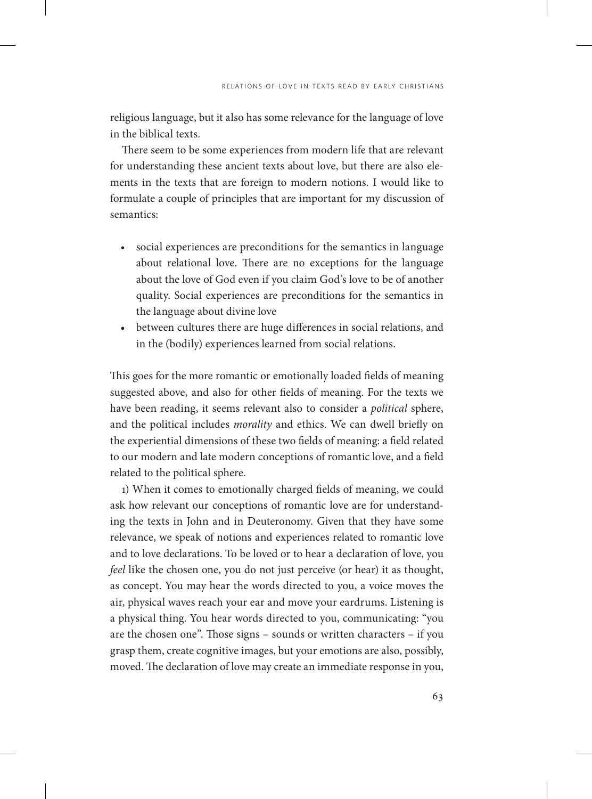religious language, but it also has some relevance for the language of love in the biblical texts.

There seem to be some experiences from modern life that are relevant for understanding these ancient texts about love, but there are also elements in the texts that are foreign to modern notions. I would like to formulate a couple of principles that are important for my discussion of semantics:

- social experiences are preconditions for the semantics in language about relational love. There are no exceptions for the language about the love of God even if you claim God's love to be of another quality. Social experiences are preconditions for the semantics in the language about divine love
- between cultures there are huge differences in social relations, and in the (bodily) experiences learned from social relations.

This goes for the more romantic or emotionally loaded fields of meaning suggested above, and also for other fields of meaning. For the texts we have been reading, it seems relevant also to consider a *political* sphere, and the political includes *morality* and ethics. We can dwell briefly on the experiential dimensions of these two fields of meaning: a field related to our modern and late modern conceptions of romantic love, and a field related to the political sphere.

1) When it comes to emotionally charged fields of meaning, we could ask how relevant our conceptions of romantic love are for understanding the texts in John and in Deuteronomy. Given that they have some relevance, we speak of notions and experiences related to romantic love and to love declarations. To be loved or to hear a declaration of love, you *feel* like the chosen one, you do not just perceive (or hear) it as thought, as concept. You may hear the words directed to you, a voice moves the air, physical waves reach your ear and move your eardrums. Listening is a physical thing. You hear words directed to you, communicating: "you are the chosen one". Those signs – sounds or written characters – if you grasp them, create cognitive images, but your emotions are also, possibly, moved. The declaration of love may create an immediate response in you,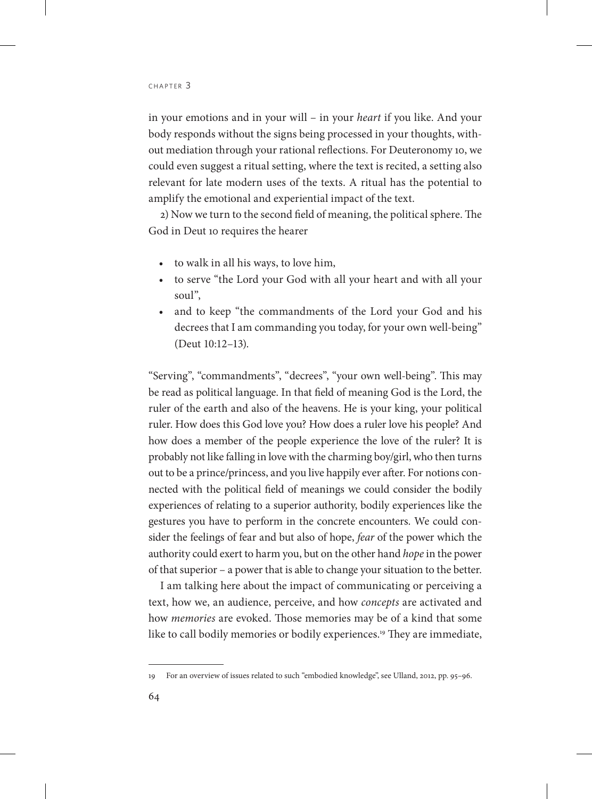in your emotions and in your will – in your *heart* if you like. And your body responds without the signs being processed in your thoughts, without mediation through your rational reflections. For Deuteronomy 10, we could even suggest a ritual setting, where the text is recited, a setting also relevant for late modern uses of the texts. A ritual has the potential to amplify the emotional and experiential impact of the text.

2) Now we turn to the second field of meaning, the political sphere. The God in Deut 10 requires the hearer

- to walk in all his ways, to love him,
- to serve "the Lord your God with all your heart and with all your soul",
- and to keep "the commandments of the Lord your God and his decrees that I am commanding you today, for your own well-being" (Deut 10:12–13).

"Serving", "commandments", "decrees", "your own well-being". This may be read as political language. In that field of meaning God is the Lord, the ruler of the earth and also of the heavens. He is your king, your political ruler. How does this God love you? How does a ruler love his people? And how does a member of the people experience the love of the ruler? It is probably not like falling in love with the charming boy/girl, who then turns out to be a prince/princess, and you live happily ever after. For notions connected with the political field of meanings we could consider the bodily experiences of relating to a superior authority, bodily experiences like the gestures you have to perform in the concrete encounters. We could consider the feelings of fear and but also of hope, *fear* of the power which the authority could exert to harm you, but on the other hand *hope* in the power of that superior – a power that is able to change your situation to the better.

I am talking here about the impact of communicating or perceiving a text, how we, an audience, perceive, and how *concepts* are activated and how *memories* are evoked. Those memories may be of a kind that some like to call bodily memories or bodily experiences.<sup>19</sup> They are immediate,

<sup>19</sup> For an overview of issues related to such "embodied knowledge", see Ulland, 2012, pp. 95–96.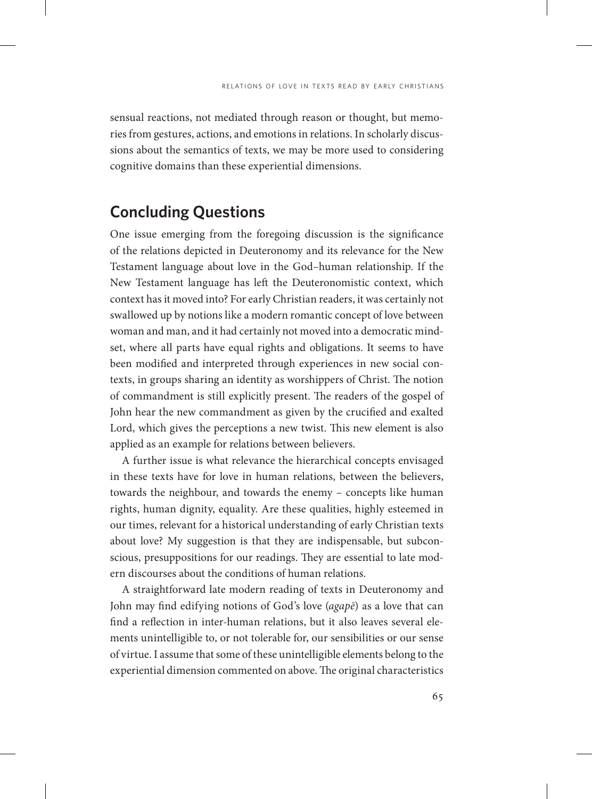sensual reactions, not mediated through reason or thought, but memories from gestures, actions, and emotions in relations. In scholarly discussions about the semantics of texts, we may be more used to considering cognitive domains than these experiential dimensions.

# **Concluding Questions**

One issue emerging from the foregoing discussion is the significance of the relations depicted in Deuteronomy and its relevance for the New Testament language about love in the God–human relationship. If the New Testament language has left the Deuteronomistic context, which context has it moved into? For early Christian readers, it was certainly not swallowed up by notions like a modern romantic concept of love between woman and man, and it had certainly not moved into a democratic mindset, where all parts have equal rights and obligations. It seems to have been modified and interpreted through experiences in new social contexts, in groups sharing an identity as worshippers of Christ. The notion of commandment is still explicitly present. The readers of the gospel of John hear the new commandment as given by the crucified and exalted Lord, which gives the perceptions a new twist. This new element is also applied as an example for relations between believers.

A further issue is what relevance the hierarchical concepts envisaged in these texts have for love in human relations, between the believers, towards the neighbour, and towards the enemy – concepts like human rights, human dignity, equality. Are these qualities, highly esteemed in our times, relevant for a historical understanding of early Christian texts about love? My suggestion is that they are indispensable, but subconscious, presuppositions for our readings. They are essential to late modern discourses about the conditions of human relations.

A straightforward late modern reading of texts in Deuteronomy and John may find edifying notions of God's love (*agapē*) as a love that can find a reflection in inter-human relations, but it also leaves several elements unintelligible to, or not tolerable for, our sensibilities or our sense of virtue. I assume that some of these unintelligible elements belong to the experiential dimension commented on above. The original characteristics